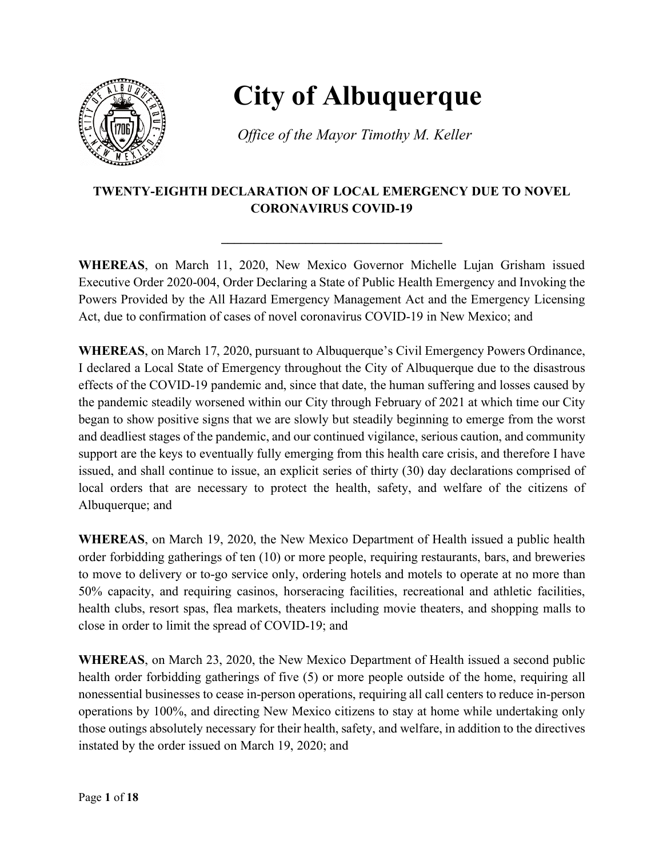

## **City of Albuquerque**

*Office of the Mayor Timothy M. Keller*

## **TWENTY-EIGHTH DECLARATION OF LOCAL EMERGENCY DUE TO NOVEL CORONAVIRUS COVID-19**

**\_\_\_\_\_\_\_\_\_\_\_\_\_\_\_\_\_\_\_\_\_\_\_\_\_\_\_\_\_\_\_\_\_\_**

**WHEREAS**, on March 11, 2020, New Mexico Governor Michelle Lujan Grisham issued Executive Order 2020-004, Order Declaring a State of Public Health Emergency and Invoking the Powers Provided by the All Hazard Emergency Management Act and the Emergency Licensing Act, due to confirmation of cases of novel coronavirus COVID-19 in New Mexico; and

**WHEREAS**, on March 17, 2020, pursuant to Albuquerque's Civil Emergency Powers Ordinance, I declared a Local State of Emergency throughout the City of Albuquerque due to the disastrous effects of the COVID-19 pandemic and, since that date, the human suffering and losses caused by the pandemic steadily worsened within our City through February of 2021 at which time our City began to show positive signs that we are slowly but steadily beginning to emerge from the worst and deadliest stages of the pandemic, and our continued vigilance, serious caution, and community support are the keys to eventually fully emerging from this health care crisis, and therefore I have issued, and shall continue to issue, an explicit series of thirty (30) day declarations comprised of local orders that are necessary to protect the health, safety, and welfare of the citizens of Albuquerque; and

**WHEREAS**, on March 19, 2020, the New Mexico Department of Health issued a public health order forbidding gatherings of ten (10) or more people, requiring restaurants, bars, and breweries to move to delivery or to-go service only, ordering hotels and motels to operate at no more than 50% capacity, and requiring casinos, horseracing facilities, recreational and athletic facilities, health clubs, resort spas, flea markets, theaters including movie theaters, and shopping malls to close in order to limit the spread of COVID-19; and

**WHEREAS**, on March 23, 2020, the New Mexico Department of Health issued a second public health order forbidding gatherings of five (5) or more people outside of the home, requiring all nonessential businesses to cease in-person operations, requiring all call centers to reduce in-person operations by 100%, and directing New Mexico citizens to stay at home while undertaking only those outings absolutely necessary for their health, safety, and welfare, in addition to the directives instated by the order issued on March 19, 2020; and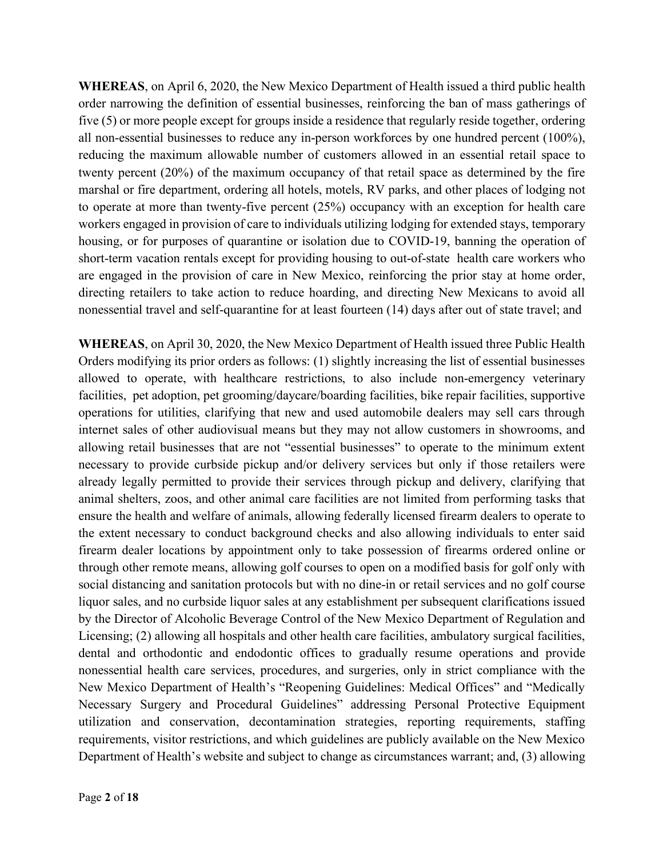**WHEREAS**, on April 6, 2020, the New Mexico Department of Health issued a third public health order narrowing the definition of essential businesses, reinforcing the ban of mass gatherings of five (5) or more people except for groups inside a residence that regularly reside together, ordering all non-essential businesses to reduce any in-person workforces by one hundred percent (100%), reducing the maximum allowable number of customers allowed in an essential retail space to twenty percent (20%) of the maximum occupancy of that retail space as determined by the fire marshal or fire department, ordering all hotels, motels, RV parks, and other places of lodging not to operate at more than twenty-five percent (25%) occupancy with an exception for health care workers engaged in provision of care to individuals utilizing lodging for extended stays, temporary housing, or for purposes of quarantine or isolation due to COVID-19, banning the operation of short-term vacation rentals except for providing housing to out-of-state health care workers who are engaged in the provision of care in New Mexico, reinforcing the prior stay at home order, directing retailers to take action to reduce hoarding, and directing New Mexicans to avoid all nonessential travel and self-quarantine for at least fourteen (14) days after out of state travel; and

**WHEREAS**, on April 30, 2020, the New Mexico Department of Health issued three Public Health Orders modifying its prior orders as follows: (1) slightly increasing the list of essential businesses allowed to operate, with healthcare restrictions, to also include non-emergency veterinary facilities, pet adoption, pet grooming/daycare/boarding facilities, bike repair facilities, supportive operations for utilities, clarifying that new and used automobile dealers may sell cars through internet sales of other audiovisual means but they may not allow customers in showrooms, and allowing retail businesses that are not "essential businesses" to operate to the minimum extent necessary to provide curbside pickup and/or delivery services but only if those retailers were already legally permitted to provide their services through pickup and delivery, clarifying that animal shelters, zoos, and other animal care facilities are not limited from performing tasks that ensure the health and welfare of animals, allowing federally licensed firearm dealers to operate to the extent necessary to conduct background checks and also allowing individuals to enter said firearm dealer locations by appointment only to take possession of firearms ordered online or through other remote means, allowing golf courses to open on a modified basis for golf only with social distancing and sanitation protocols but with no dine-in or retail services and no golf course liquor sales, and no curbside liquor sales at any establishment per subsequent clarifications issued by the Director of Alcoholic Beverage Control of the New Mexico Department of Regulation and Licensing; (2) allowing all hospitals and other health care facilities, ambulatory surgical facilities, dental and orthodontic and endodontic offices to gradually resume operations and provide nonessential health care services, procedures, and surgeries, only in strict compliance with the New Mexico Department of Health's "Reopening Guidelines: Medical Offices" and "Medically Necessary Surgery and Procedural Guidelines" addressing Personal Protective Equipment utilization and conservation, decontamination strategies, reporting requirements, staffing requirements, visitor restrictions, and which guidelines are publicly available on the New Mexico Department of Health's website and subject to change as circumstances warrant; and, (3) allowing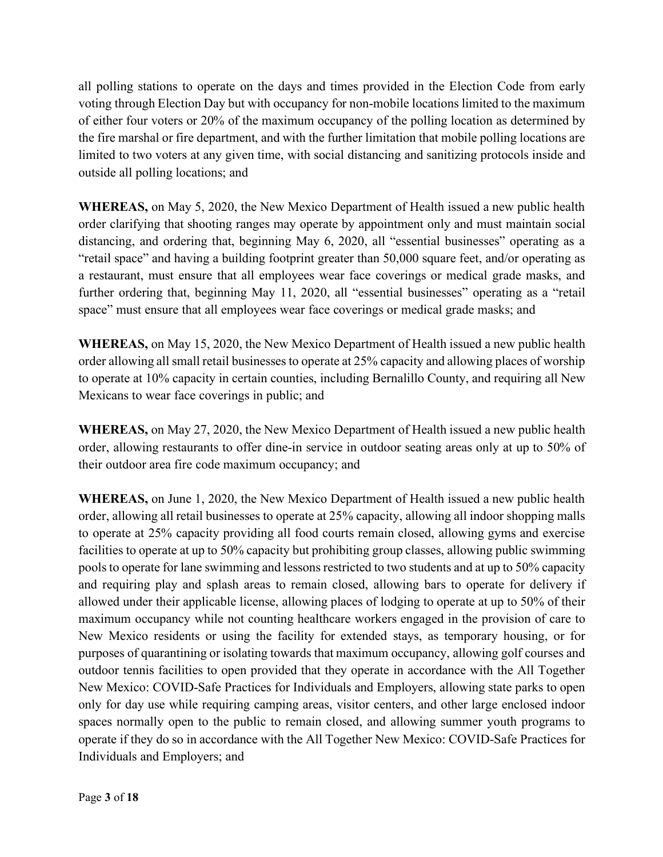all polling stations to operate on the days and times provided in the Election Code from early voting through Election Day but with occupancy for non-mobile locations limited to the maximum of either four voters or 20% of the maximum occupancy of the polling location as determined by the fire marshal or fire department, and with the further limitation that mobile polling locations are limited to two voters at any given time, with social distancing and sanitizing protocols inside and outside all polling locations; and

**WHEREAS,** on May 5, 2020, the New Mexico Department of Health issued a new public health order clarifying that shooting ranges may operate by appointment only and must maintain social distancing, and ordering that, beginning May 6, 2020, all "essential businesses" operating as a "retail space" and having a building footprint greater than 50,000 square feet, and/or operating as a restaurant, must ensure that all employees wear face coverings or medical grade masks, and further ordering that, beginning May 11, 2020, all "essential businesses" operating as a "retail space" must ensure that all employees wear face coverings or medical grade masks; and

**WHEREAS,** on May 15, 2020, the New Mexico Department of Health issued a new public health order allowing all small retail businesses to operate at 25% capacity and allowing places of worship to operate at 10% capacity in certain counties, including Bernalillo County, and requiring all New Mexicans to wear face coverings in public; and

**WHEREAS,** on May 27, 2020, the New Mexico Department of Health issued a new public health order, allowing restaurants to offer dine-in service in outdoor seating areas only at up to 50% of their outdoor area fire code maximum occupancy; and

**WHEREAS,** on June 1, 2020, the New Mexico Department of Health issued a new public health order, allowing all retail businesses to operate at 25% capacity, allowing all indoor shopping malls to operate at 25% capacity providing all food courts remain closed, allowing gyms and exercise facilities to operate at up to 50% capacity but prohibiting group classes, allowing public swimming pools to operate for lane swimming and lessons restricted to two students and at up to 50% capacity and requiring play and splash areas to remain closed, allowing bars to operate for delivery if allowed under their applicable license, allowing places of lodging to operate at up to 50% of their maximum occupancy while not counting healthcare workers engaged in the provision of care to New Mexico residents or using the facility for extended stays, as temporary housing, or for purposes of quarantining or isolating towards that maximum occupancy, allowing golf courses and outdoor tennis facilities to open provided that they operate in accordance with the All Together New Mexico: COVID-Safe Practices for Individuals and Employers, allowing state parks to open only for day use while requiring camping areas, visitor centers, and other large enclosed indoor spaces normally open to the public to remain closed, and allowing summer youth programs to operate if they do so in accordance with the All Together New Mexico: COVID-Safe Practices for Individuals and Employers; and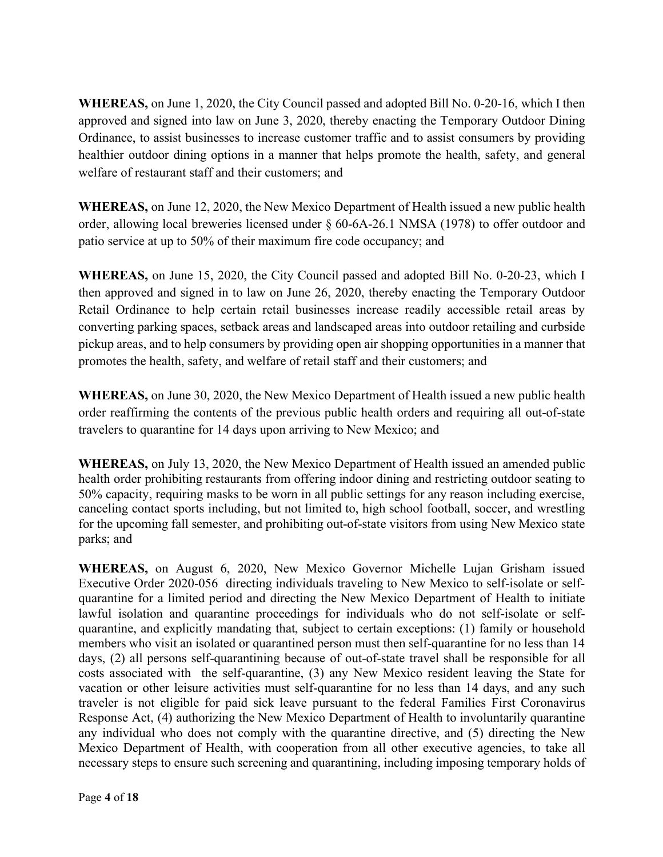**WHEREAS,** on June 1, 2020, the City Council passed and adopted Bill No. 0-20-16, which I then approved and signed into law on June 3, 2020, thereby enacting the Temporary Outdoor Dining Ordinance, to assist businesses to increase customer traffic and to assist consumers by providing healthier outdoor dining options in a manner that helps promote the health, safety, and general welfare of restaurant staff and their customers; and

**WHEREAS,** on June 12, 2020, the New Mexico Department of Health issued a new public health order, allowing local breweries licensed under § 60-6A-26.1 NMSA (1978) to offer outdoor and patio service at up to 50% of their maximum fire code occupancy; and

**WHEREAS,** on June 15, 2020, the City Council passed and adopted Bill No. 0-20-23, which I then approved and signed in to law on June 26, 2020, thereby enacting the Temporary Outdoor Retail Ordinance to help certain retail businesses increase readily accessible retail areas by converting parking spaces, setback areas and landscaped areas into outdoor retailing and curbside pickup areas, and to help consumers by providing open air shopping opportunities in a manner that promotes the health, safety, and welfare of retail staff and their customers; and

**WHEREAS,** on June 30, 2020, the New Mexico Department of Health issued a new public health order reaffirming the contents of the previous public health orders and requiring all out-of-state travelers to quarantine for 14 days upon arriving to New Mexico; and

**WHEREAS,** on July 13, 2020, the New Mexico Department of Health issued an amended public health order prohibiting restaurants from offering indoor dining and restricting outdoor seating to 50% capacity, requiring masks to be worn in all public settings for any reason including exercise, canceling contact sports including, but not limited to, high school football, soccer, and wrestling for the upcoming fall semester, and prohibiting out-of-state visitors from using New Mexico state parks; and

**WHEREAS,** on August 6, 2020, New Mexico Governor Michelle Lujan Grisham issued Executive Order 2020-056 directing individuals traveling to New Mexico to self-isolate or selfquarantine for a limited period and directing the New Mexico Department of Health to initiate lawful isolation and quarantine proceedings for individuals who do not self-isolate or selfquarantine, and explicitly mandating that, subject to certain exceptions: (1) family or household members who visit an isolated or quarantined person must then self-quarantine for no less than 14 days, (2) all persons self-quarantining because of out-of-state travel shall be responsible for all costs associated with the self-quarantine, (3) any New Mexico resident leaving the State for vacation or other leisure activities must self-quarantine for no less than 14 days, and any such traveler is not eligible for paid sick leave pursuant to the federal Families First Coronavirus Response Act, (4) authorizing the New Mexico Department of Health to involuntarily quarantine any individual who does not comply with the quarantine directive, and (5) directing the New Mexico Department of Health, with cooperation from all other executive agencies, to take all necessary steps to ensure such screening and quarantining, including imposing temporary holds of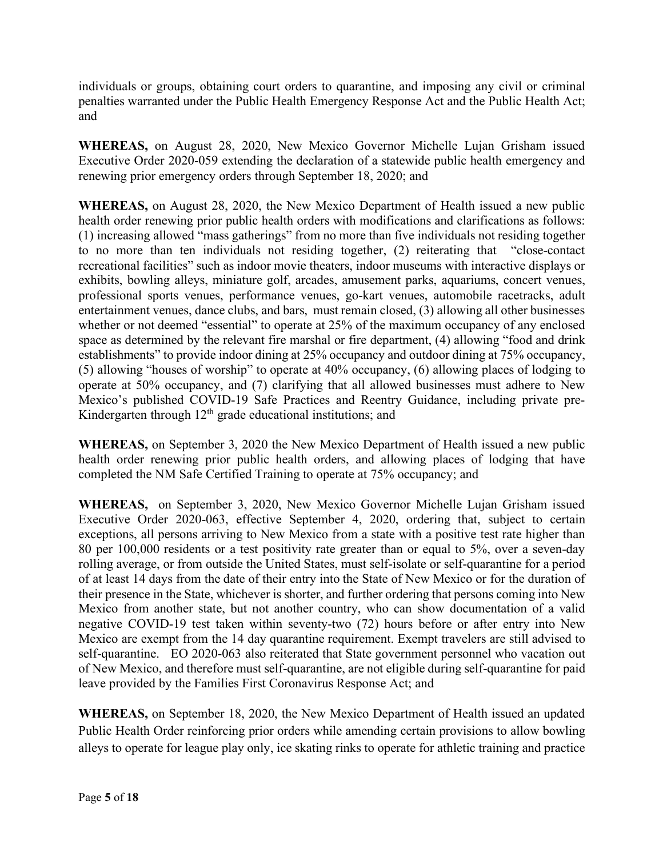individuals or groups, obtaining court orders to quarantine, and imposing any civil or criminal penalties warranted under the Public Health Emergency Response Act and the Public Health Act; and

**WHEREAS,** on August 28, 2020, New Mexico Governor Michelle Lujan Grisham issued Executive Order 2020-059 extending the declaration of a statewide public health emergency and renewing prior emergency orders through September 18, 2020; and

**WHEREAS,** on August 28, 2020, the New Mexico Department of Health issued a new public health order renewing prior public health orders with modifications and clarifications as follows: (1) increasing allowed "mass gatherings" from no more than five individuals not residing together to no more than ten individuals not residing together, (2) reiterating that "close-contact recreational facilities" such as indoor movie theaters, indoor museums with interactive displays or exhibits, bowling alleys, miniature golf, arcades, amusement parks, aquariums, concert venues, professional sports venues, performance venues, go-kart venues, automobile racetracks, adult entertainment venues, dance clubs, and bars, must remain closed, (3) allowing all other businesses whether or not deemed "essential" to operate at 25% of the maximum occupancy of any enclosed space as determined by the relevant fire marshal or fire department, (4) allowing "food and drink establishments" to provide indoor dining at 25% occupancy and outdoor dining at 75% occupancy, (5) allowing "houses of worship" to operate at 40% occupancy, (6) allowing places of lodging to operate at 50% occupancy, and (7) clarifying that all allowed businesses must adhere to New Mexico's published COVID-19 Safe Practices and Reentry Guidance, including private pre-Kindergarten through  $12<sup>th</sup>$  grade educational institutions; and

**WHEREAS,** on September 3, 2020 the New Mexico Department of Health issued a new public health order renewing prior public health orders, and allowing places of lodging that have completed the NM Safe Certified Training to operate at 75% occupancy; and

**WHEREAS,** on September 3, 2020, New Mexico Governor Michelle Lujan Grisham issued Executive Order 2020-063, effective September 4, 2020, ordering that, subject to certain exceptions, all persons arriving to New Mexico from a state with a positive test rate higher than 80 per 100,000 residents or a test positivity rate greater than or equal to 5%, over a seven-day rolling average, or from outside the United States, must self-isolate or self-quarantine for a period of at least 14 days from the date of their entry into the State of New Mexico or for the duration of their presence in the State, whichever is shorter, and further ordering that persons coming into New Mexico from another state, but not another country, who can show documentation of a valid negative COVID-19 test taken within seventy-two (72) hours before or after entry into New Mexico are exempt from the 14 day quarantine requirement. Exempt travelers are still advised to self-quarantine. EO 2020-063 also reiterated that State government personnel who vacation out of New Mexico, and therefore must self-quarantine, are not eligible during self-quarantine for paid leave provided by the Families First Coronavirus Response Act; and

**WHEREAS,** on September 18, 2020, the New Mexico Department of Health issued an updated Public Health Order reinforcing prior orders while amending certain provisions to allow bowling alleys to operate for league play only, ice skating rinks to operate for athletic training and practice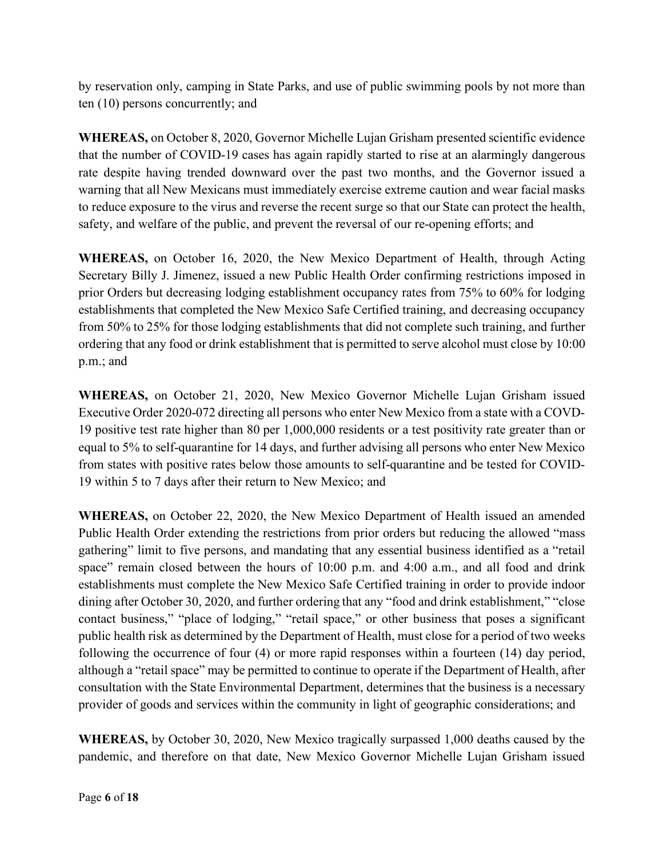by reservation only, camping in State Parks, and use of public swimming pools by not more than ten (10) persons concurrently; and

**WHEREAS,** on October 8, 2020, Governor Michelle Lujan Grisham presented scientific evidence that the number of COVID-19 cases has again rapidly started to rise at an alarmingly dangerous rate despite having trended downward over the past two months, and the Governor issued a warning that all New Mexicans must immediately exercise extreme caution and wear facial masks to reduce exposure to the virus and reverse the recent surge so that our State can protect the health, safety, and welfare of the public, and prevent the reversal of our re-opening efforts; and

**WHEREAS,** on October 16, 2020, the New Mexico Department of Health, through Acting Secretary Billy J. Jimenez, issued a new Public Health Order confirming restrictions imposed in prior Orders but decreasing lodging establishment occupancy rates from 75% to 60% for lodging establishments that completed the New Mexico Safe Certified training, and decreasing occupancy from 50% to 25% for those lodging establishments that did not complete such training, and further ordering that any food or drink establishment that is permitted to serve alcohol must close by 10:00 p.m.; and

**WHEREAS,** on October 21, 2020, New Mexico Governor Michelle Lujan Grisham issued Executive Order 2020-072 directing all persons who enter New Mexico from a state with a COVD-19 positive test rate higher than 80 per 1,000,000 residents or a test positivity rate greater than or equal to 5% to self-quarantine for 14 days, and further advising all persons who enter New Mexico from states with positive rates below those amounts to self-quarantine and be tested for COVID-19 within 5 to 7 days after their return to New Mexico; and

**WHEREAS,** on October 22, 2020, the New Mexico Department of Health issued an amended Public Health Order extending the restrictions from prior orders but reducing the allowed "mass gathering" limit to five persons, and mandating that any essential business identified as a "retail space" remain closed between the hours of 10:00 p.m. and 4:00 a.m., and all food and drink establishments must complete the New Mexico Safe Certified training in order to provide indoor dining after October 30, 2020, and further ordering that any "food and drink establishment," "close contact business," "place of lodging," "retail space," or other business that poses a significant public health risk as determined by the Department of Health, must close for a period of two weeks following the occurrence of four (4) or more rapid responses within a fourteen (14) day period, although a "retail space" may be permitted to continue to operate if the Department of Health, after consultation with the State Environmental Department, determines that the business is a necessary provider of goods and services within the community in light of geographic considerations; and

**WHEREAS,** by October 30, 2020, New Mexico tragically surpassed 1,000 deaths caused by the pandemic, and therefore on that date, New Mexico Governor Michelle Lujan Grisham issued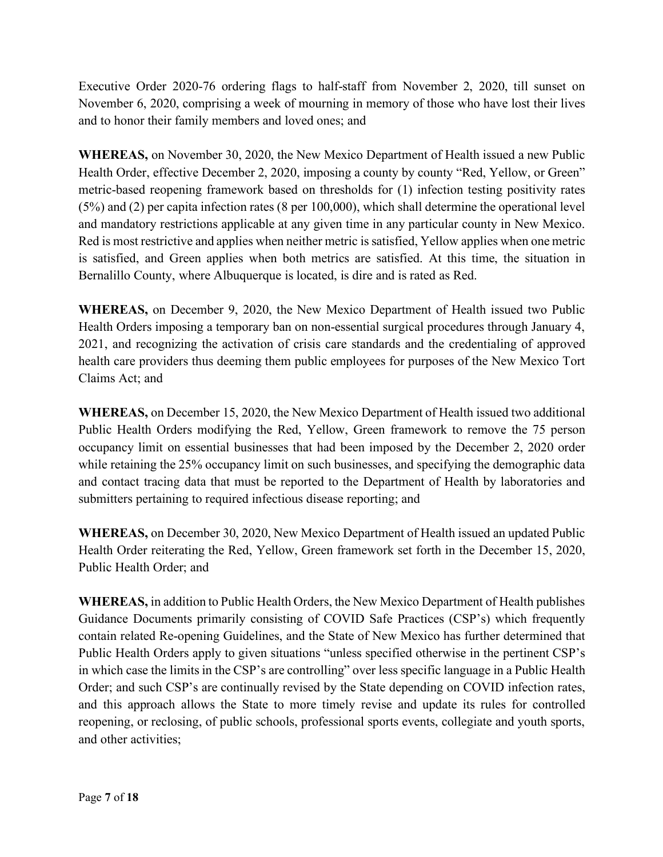Executive Order 2020-76 ordering flags to half-staff from November 2, 2020, till sunset on November 6, 2020, comprising a week of mourning in memory of those who have lost their lives and to honor their family members and loved ones; and

**WHEREAS,** on November 30, 2020, the New Mexico Department of Health issued a new Public Health Order, effective December 2, 2020, imposing a county by county "Red, Yellow, or Green" metric-based reopening framework based on thresholds for (1) infection testing positivity rates (5%) and (2) per capita infection rates (8 per 100,000), which shall determine the operational level and mandatory restrictions applicable at any given time in any particular county in New Mexico. Red is most restrictive and applies when neither metric is satisfied, Yellow applies when one metric is satisfied, and Green applies when both metrics are satisfied. At this time, the situation in Bernalillo County, where Albuquerque is located, is dire and is rated as Red.

**WHEREAS,** on December 9, 2020, the New Mexico Department of Health issued two Public Health Orders imposing a temporary ban on non-essential surgical procedures through January 4, 2021, and recognizing the activation of crisis care standards and the credentialing of approved health care providers thus deeming them public employees for purposes of the New Mexico Tort Claims Act; and

**WHEREAS,** on December 15, 2020, the New Mexico Department of Health issued two additional Public Health Orders modifying the Red, Yellow, Green framework to remove the 75 person occupancy limit on essential businesses that had been imposed by the December 2, 2020 order while retaining the 25% occupancy limit on such businesses, and specifying the demographic data and contact tracing data that must be reported to the Department of Health by laboratories and submitters pertaining to required infectious disease reporting; and

**WHEREAS,** on December 30, 2020, New Mexico Department of Health issued an updated Public Health Order reiterating the Red, Yellow, Green framework set forth in the December 15, 2020, Public Health Order; and

**WHEREAS,** in addition to Public Health Orders, the New Mexico Department of Health publishes Guidance Documents primarily consisting of COVID Safe Practices (CSP's) which frequently contain related Re-opening Guidelines, and the State of New Mexico has further determined that Public Health Orders apply to given situations "unless specified otherwise in the pertinent CSP's in which case the limits in the CSP's are controlling" over less specific language in a Public Health Order; and such CSP's are continually revised by the State depending on COVID infection rates, and this approach allows the State to more timely revise and update its rules for controlled reopening, or reclosing, of public schools, professional sports events, collegiate and youth sports, and other activities;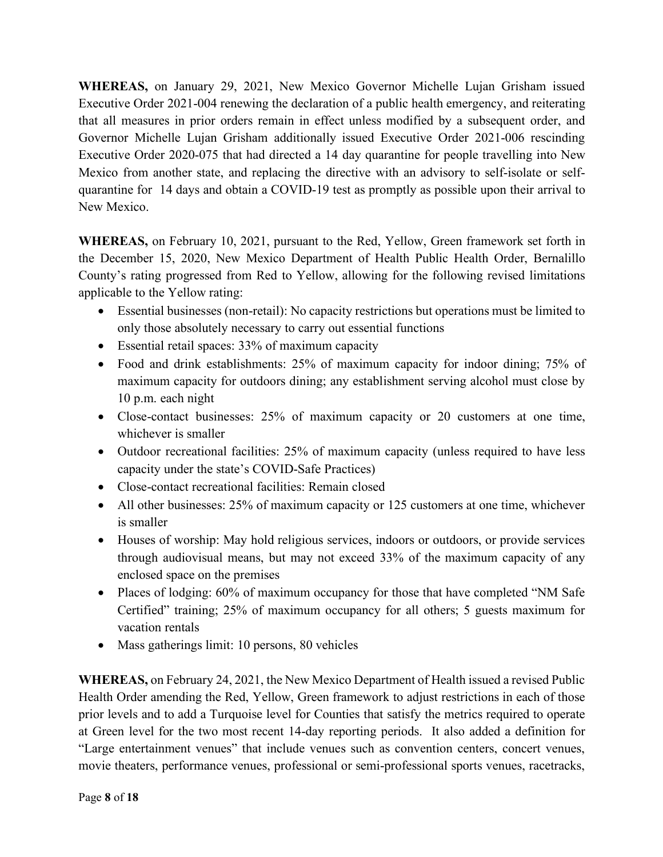**WHEREAS,** on January 29, 2021, New Mexico Governor Michelle Lujan Grisham issued Executive Order 2021-004 renewing the declaration of a public health emergency, and reiterating that all measures in prior orders remain in effect unless modified by a subsequent order, and Governor Michelle Lujan Grisham additionally issued Executive Order 2021-006 rescinding Executive Order 2020-075 that had directed a 14 day quarantine for people travelling into New Mexico from another state, and replacing the directive with an advisory to self-isolate or selfquarantine for 14 days and obtain a COVID-19 test as promptly as possible upon their arrival to New Mexico.

**WHEREAS,** on February 10, 2021, pursuant to the Red, Yellow, Green framework set forth in the December 15, 2020, New Mexico Department of Health Public Health Order, Bernalillo County's rating progressed from Red to Yellow, allowing for the following revised limitations applicable to the Yellow rating:

- Essential businesses (non-retail): No capacity restrictions but operations must be limited to only those absolutely necessary to carry out essential functions
- Essential retail spaces: 33% of maximum capacity
- Food and drink establishments: 25% of maximum capacity for indoor dining; 75% of maximum capacity for outdoors dining; any establishment serving alcohol must close by 10 p.m. each night
- Close-contact businesses: 25% of maximum capacity or 20 customers at one time, whichever is smaller
- Outdoor recreational facilities: 25% of maximum capacity (unless required to have less capacity under the state's COVID-Safe Practices)
- Close-contact recreational facilities: Remain closed
- All other businesses: 25% of maximum capacity or 125 customers at one time, whichever is smaller
- Houses of worship: May hold religious services, indoors or outdoors, or provide services through audiovisual means, but may not exceed 33% of the maximum capacity of any enclosed space on the premises
- Places of lodging: 60% of maximum occupancy for those that have completed "NM Safe" Certified" training; 25% of maximum occupancy for all others; 5 guests maximum for vacation rentals
- Mass gatherings limit: 10 persons, 80 vehicles

**WHEREAS,** on February 24, 2021, the New Mexico Department of Health issued a revised Public Health Order amending the Red, Yellow, Green framework to adjust restrictions in each of those prior levels and to add a Turquoise level for Counties that satisfy the metrics required to operate at Green level for the two most recent 14-day reporting periods. It also added a definition for "Large entertainment venues" that include venues such as convention centers, concert venues, movie theaters, performance venues, professional or semi-professional sports venues, racetracks,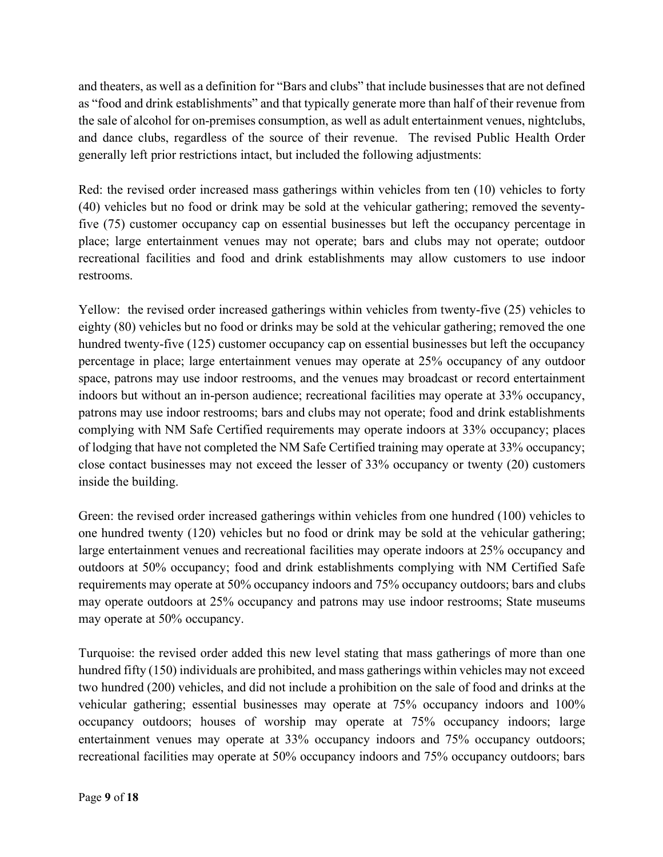and theaters, as well as a definition for "Bars and clubs" that include businesses that are not defined as "food and drink establishments" and that typically generate more than half of their revenue from the sale of alcohol for on-premises consumption, as well as adult entertainment venues, nightclubs, and dance clubs, regardless of the source of their revenue. The revised Public Health Order generally left prior restrictions intact, but included the following adjustments:

Red: the revised order increased mass gatherings within vehicles from ten (10) vehicles to forty (40) vehicles but no food or drink may be sold at the vehicular gathering; removed the seventyfive (75) customer occupancy cap on essential businesses but left the occupancy percentage in place; large entertainment venues may not operate; bars and clubs may not operate; outdoor recreational facilities and food and drink establishments may allow customers to use indoor restrooms.

Yellow: the revised order increased gatherings within vehicles from twenty-five (25) vehicles to eighty (80) vehicles but no food or drinks may be sold at the vehicular gathering; removed the one hundred twenty-five (125) customer occupancy cap on essential businesses but left the occupancy percentage in place; large entertainment venues may operate at 25% occupancy of any outdoor space, patrons may use indoor restrooms, and the venues may broadcast or record entertainment indoors but without an in-person audience; recreational facilities may operate at 33% occupancy, patrons may use indoor restrooms; bars and clubs may not operate; food and drink establishments complying with NM Safe Certified requirements may operate indoors at 33% occupancy; places of lodging that have not completed the NM Safe Certified training may operate at 33% occupancy; close contact businesses may not exceed the lesser of 33% occupancy or twenty (20) customers inside the building.

Green: the revised order increased gatherings within vehicles from one hundred (100) vehicles to one hundred twenty (120) vehicles but no food or drink may be sold at the vehicular gathering; large entertainment venues and recreational facilities may operate indoors at 25% occupancy and outdoors at 50% occupancy; food and drink establishments complying with NM Certified Safe requirements may operate at 50% occupancy indoors and 75% occupancy outdoors; bars and clubs may operate outdoors at 25% occupancy and patrons may use indoor restrooms; State museums may operate at 50% occupancy.

Turquoise: the revised order added this new level stating that mass gatherings of more than one hundred fifty (150) individuals are prohibited, and mass gatherings within vehicles may not exceed two hundred (200) vehicles, and did not include a prohibition on the sale of food and drinks at the vehicular gathering; essential businesses may operate at 75% occupancy indoors and 100% occupancy outdoors; houses of worship may operate at 75% occupancy indoors; large entertainment venues may operate at 33% occupancy indoors and 75% occupancy outdoors; recreational facilities may operate at 50% occupancy indoors and 75% occupancy outdoors; bars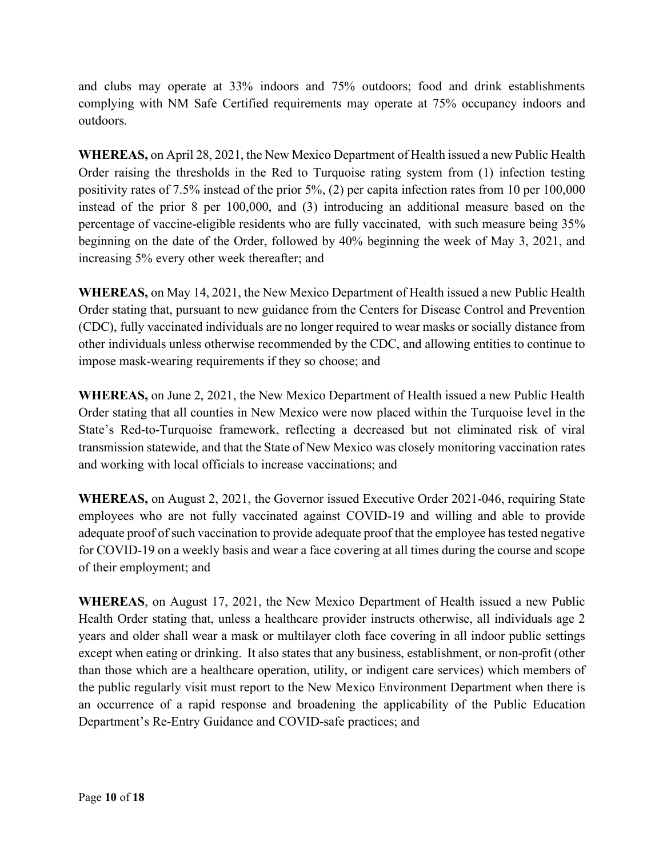and clubs may operate at 33% indoors and 75% outdoors; food and drink establishments complying with NM Safe Certified requirements may operate at 75% occupancy indoors and outdoors.

**WHEREAS,** on April 28, 2021, the New Mexico Department of Health issued a new Public Health Order raising the thresholds in the Red to Turquoise rating system from (1) infection testing positivity rates of 7.5% instead of the prior 5%, (2) per capita infection rates from 10 per 100,000 instead of the prior 8 per 100,000, and (3) introducing an additional measure based on the percentage of vaccine-eligible residents who are fully vaccinated, with such measure being 35% beginning on the date of the Order, followed by 40% beginning the week of May 3, 2021, and increasing 5% every other week thereafter; and

**WHEREAS,** on May 14, 2021, the New Mexico Department of Health issued a new Public Health Order stating that, pursuant to new guidance from the Centers for Disease Control and Prevention (CDC), fully vaccinated individuals are no longer required to wear masks or socially distance from other individuals unless otherwise recommended by the CDC, and allowing entities to continue to impose mask-wearing requirements if they so choose; and

**WHEREAS,** on June 2, 2021, the New Mexico Department of Health issued a new Public Health Order stating that all counties in New Mexico were now placed within the Turquoise level in the State's Red-to-Turquoise framework, reflecting a decreased but not eliminated risk of viral transmission statewide, and that the State of New Mexico was closely monitoring vaccination rates and working with local officials to increase vaccinations; and

**WHEREAS,** on August 2, 2021, the Governor issued Executive Order 2021-046, requiring State employees who are not fully vaccinated against COVID-19 and willing and able to provide adequate proof of such vaccination to provide adequate proof that the employee has tested negative for COVID-19 on a weekly basis and wear a face covering at all times during the course and scope of their employment; and

**WHEREAS**, on August 17, 2021, the New Mexico Department of Health issued a new Public Health Order stating that, unless a healthcare provider instructs otherwise, all individuals age 2 years and older shall wear a mask or multilayer cloth face covering in all indoor public settings except when eating or drinking. It also states that any business, establishment, or non-profit (other than those which are a healthcare operation, utility, or indigent care services) which members of the public regularly visit must report to the New Mexico Environment Department when there is an occurrence of a rapid response and broadening the applicability of the Public Education Department's Re-Entry Guidance and COVID-safe practices; and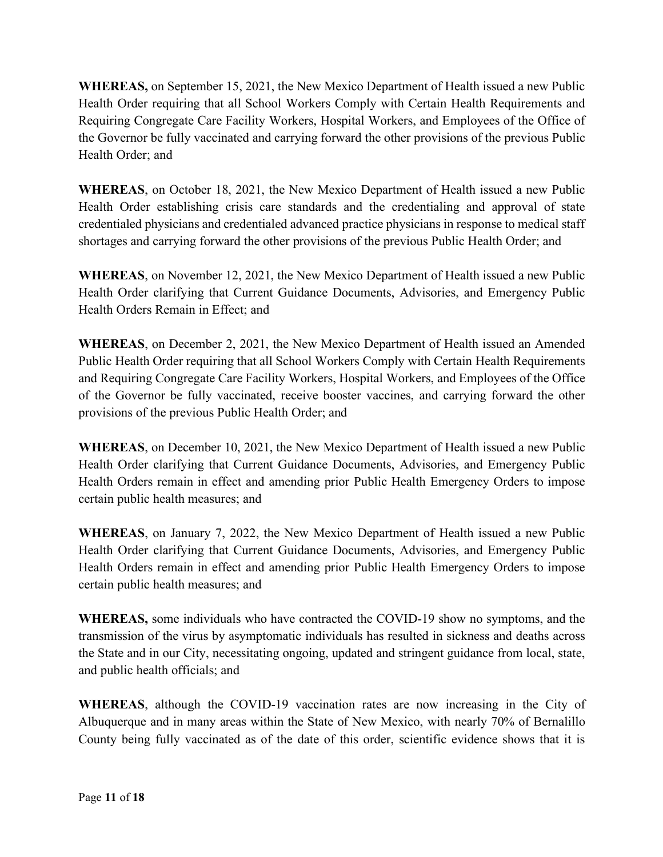**WHEREAS,** on September 15, 2021, the New Mexico Department of Health issued a new Public Health Order requiring that all School Workers Comply with Certain Health Requirements and Requiring Congregate Care Facility Workers, Hospital Workers, and Employees of the Office of the Governor be fully vaccinated and carrying forward the other provisions of the previous Public Health Order; and

**WHEREAS**, on October 18, 2021, the New Mexico Department of Health issued a new Public Health Order establishing crisis care standards and the credentialing and approval of state credentialed physicians and credentialed advanced practice physicians in response to medical staff shortages and carrying forward the other provisions of the previous Public Health Order; and

**WHEREAS**, on November 12, 2021, the New Mexico Department of Health issued a new Public Health Order clarifying that Current Guidance Documents, Advisories, and Emergency Public Health Orders Remain in Effect; and

**WHEREAS**, on December 2, 2021, the New Mexico Department of Health issued an Amended Public Health Order requiring that all School Workers Comply with Certain Health Requirements and Requiring Congregate Care Facility Workers, Hospital Workers, and Employees of the Office of the Governor be fully vaccinated, receive booster vaccines, and carrying forward the other provisions of the previous Public Health Order; and

**WHEREAS**, on December 10, 2021, the New Mexico Department of Health issued a new Public Health Order clarifying that Current Guidance Documents, Advisories, and Emergency Public Health Orders remain in effect and amending prior Public Health Emergency Orders to impose certain public health measures; and

**WHEREAS**, on January 7, 2022, the New Mexico Department of Health issued a new Public Health Order clarifying that Current Guidance Documents, Advisories, and Emergency Public Health Orders remain in effect and amending prior Public Health Emergency Orders to impose certain public health measures; and

**WHEREAS,** some individuals who have contracted the COVID-19 show no symptoms, and the transmission of the virus by asymptomatic individuals has resulted in sickness and deaths across the State and in our City, necessitating ongoing, updated and stringent guidance from local, state, and public health officials; and

**WHEREAS**, although the COVID-19 vaccination rates are now increasing in the City of Albuquerque and in many areas within the State of New Mexico, with nearly 70% of Bernalillo County being fully vaccinated as of the date of this order, scientific evidence shows that it is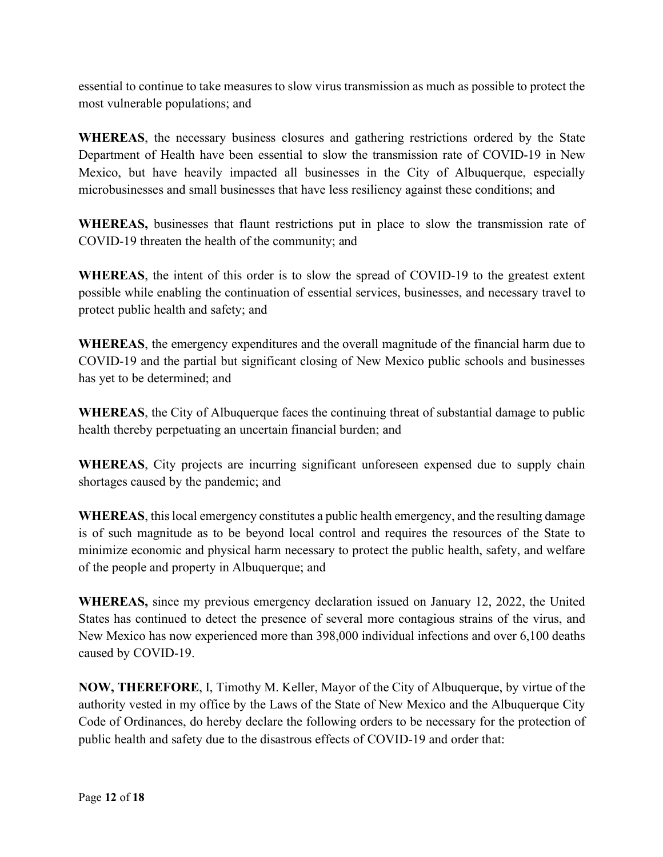essential to continue to take measures to slow virus transmission as much as possible to protect the most vulnerable populations; and

**WHEREAS**, the necessary business closures and gathering restrictions ordered by the State Department of Health have been essential to slow the transmission rate of COVID-19 in New Mexico, but have heavily impacted all businesses in the City of Albuquerque, especially microbusinesses and small businesses that have less resiliency against these conditions; and

**WHEREAS,** businesses that flaunt restrictions put in place to slow the transmission rate of COVID-19 threaten the health of the community; and

**WHEREAS**, the intent of this order is to slow the spread of COVID-19 to the greatest extent possible while enabling the continuation of essential services, businesses, and necessary travel to protect public health and safety; and

**WHEREAS**, the emergency expenditures and the overall magnitude of the financial harm due to COVID-19 and the partial but significant closing of New Mexico public schools and businesses has yet to be determined; and

**WHEREAS**, the City of Albuquerque faces the continuing threat of substantial damage to public health thereby perpetuating an uncertain financial burden; and

**WHEREAS**, City projects are incurring significant unforeseen expensed due to supply chain shortages caused by the pandemic; and

**WHEREAS**, this local emergency constitutes a public health emergency, and the resulting damage is of such magnitude as to be beyond local control and requires the resources of the State to minimize economic and physical harm necessary to protect the public health, safety, and welfare of the people and property in Albuquerque; and

**WHEREAS,** since my previous emergency declaration issued on January 12, 2022, the United States has continued to detect the presence of several more contagious strains of the virus, and New Mexico has now experienced more than 398,000 individual infections and over 6,100 deaths caused by COVID-19.

**NOW, THEREFORE**, I, Timothy M. Keller, Mayor of the City of Albuquerque, by virtue of the authority vested in my office by the Laws of the State of New Mexico and the Albuquerque City Code of Ordinances, do hereby declare the following orders to be necessary for the protection of public health and safety due to the disastrous effects of COVID-19 and order that: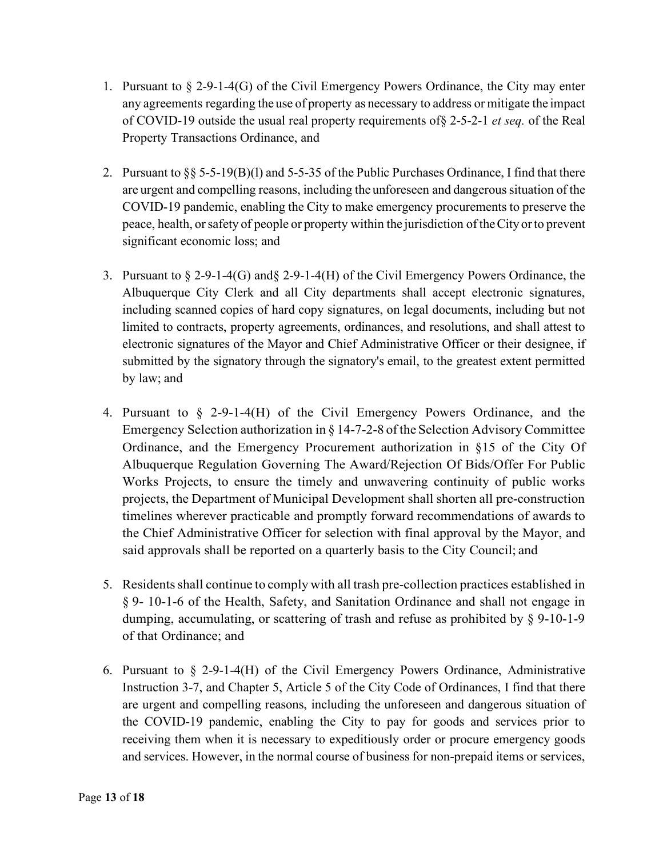- 1. Pursuant to  $\S 2-9-1-4(G)$  of the Civil Emergency Powers Ordinance, the City may enter any agreements regarding the use of property as necessary to address or mitigate the impact of COVID-19 outside the usual real property requirements of§ 2-5-2-1 *et seq.* of the Real Property Transactions Ordinance, and
- 2. Pursuant to §§ 5-5-19(B)(l) and 5-5-35 of the Public Purchases Ordinance, I find that there are urgent and compelling reasons, including the unforeseen and dangerous situation of the COVID-19 pandemic, enabling the City to make emergency procurements to preserve the peace, health, orsafety of people or property within the jurisdiction of theCity orto prevent significant economic loss; and
- 3. Pursuant to § 2-9-1-4(G) and§ 2-9-1-4(H) of the Civil Emergency Powers Ordinance, the Albuquerque City Clerk and all City departments shall accept electronic signatures, including scanned copies of hard copy signatures, on legal documents, including but not limited to contracts, property agreements, ordinances, and resolutions, and shall attest to electronic signatures of the Mayor and Chief Administrative Officer or their designee, if submitted by the signatory through the signatory's email, to the greatest extent permitted by law; and
- 4. Pursuant to § 2-9-1-4(H) of the Civil Emergency Powers Ordinance, and the Emergency Selection authorization in § 14-7-2-8 ofthe Selection Advisory Committee Ordinance, and the Emergency Procurement authorization in §15 of the City Of Albuquerque Regulation Governing The Award/Rejection Of Bids/Offer For Public Works Projects, to ensure the timely and unwavering continuity of public works projects, the Department of Municipal Development shall shorten all pre-construction timelines wherever practicable and promptly forward recommendations of awards to the Chief Administrative Officer for selection with final approval by the Mayor, and said approvals shall be reported on a quarterly basis to the City Council; and
- 5. Residentsshall continue to comply with all trash pre-collection practices established in § 9- 10-1-6 of the Health, Safety, and Sanitation Ordinance and shall not engage in dumping, accumulating, or scattering of trash and refuse as prohibited by § 9-10-1-9 of that Ordinance; and
- 6. Pursuant to  $\S$  2-9-1-4(H) of the Civil Emergency Powers Ordinance, Administrative Instruction 3-7, and Chapter 5, Article 5 of the City Code of Ordinances, I find that there are urgent and compelling reasons, including the unforeseen and dangerous situation of the COVID-19 pandemic, enabling the City to pay for goods and services prior to receiving them when it is necessary to expeditiously order or procure emergency goods and services. However, in the normal course of business for non-prepaid items or services,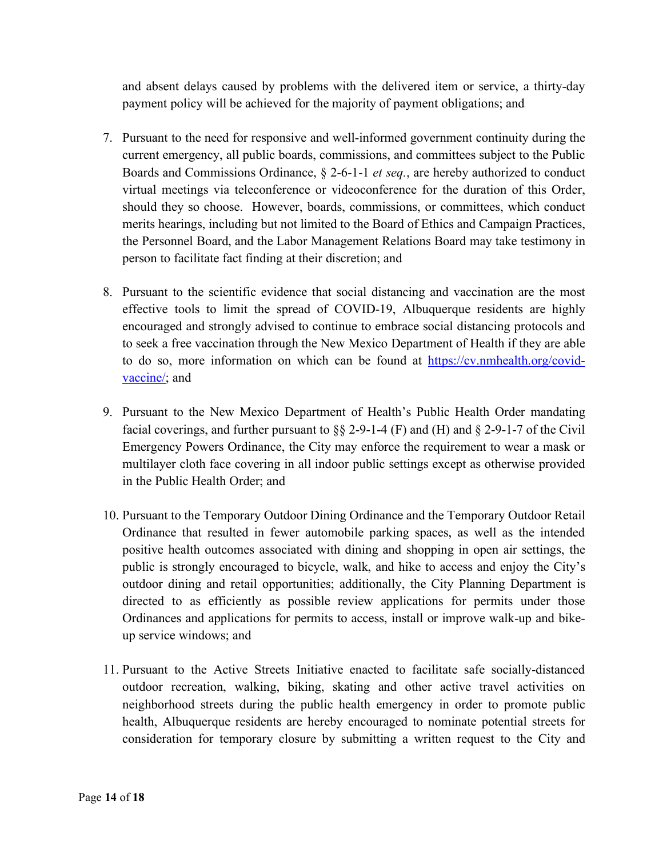and absent delays caused by problems with the delivered item or service, a thirty-day payment policy will be achieved for the majority of payment obligations; and

- 7. Pursuant to the need for responsive and well-informed government continuity during the current emergency, all public boards, commissions, and committees subject to the Public Boards and Commissions Ordinance, § 2-6-1-1 *et seq.*, are hereby authorized to conduct virtual meetings via teleconference or videoconference for the duration of this Order, should they so choose. However, boards, commissions, or committees, which conduct merits hearings, including but not limited to the Board of Ethics and Campaign Practices, the Personnel Board, and the Labor Management Relations Board may take testimony in person to facilitate fact finding at their discretion; and
- 8. Pursuant to the scientific evidence that social distancing and vaccination are the most effective tools to limit the spread of COVID-19, Albuquerque residents are highly encouraged and strongly advised to continue to embrace social distancing protocols and to seek a free vaccination through the New Mexico Department of Health if they are able to do so, more information on which can be found at https://cv.nmhealth.org/covidvaccine/; and
- 9. Pursuant to the New Mexico Department of Health's Public Health Order mandating facial coverings, and further pursuant to  $\S$ § 2-9-1-4 (F) and (H) and § 2-9-1-7 of the Civil Emergency Powers Ordinance, the City may enforce the requirement to wear a mask or multilayer cloth face covering in all indoor public settings except as otherwise provided in the Public Health Order; and
- 10. Pursuant to the Temporary Outdoor Dining Ordinance and the Temporary Outdoor Retail Ordinance that resulted in fewer automobile parking spaces, as well as the intended positive health outcomes associated with dining and shopping in open air settings, the public is strongly encouraged to bicycle, walk, and hike to access and enjoy the City's outdoor dining and retail opportunities; additionally, the City Planning Department is directed to as efficiently as possible review applications for permits under those Ordinances and applications for permits to access, install or improve walk-up and bikeup service windows; and
- 11. Pursuant to the Active Streets Initiative enacted to facilitate safe socially-distanced outdoor recreation, walking, biking, skating and other active travel activities on neighborhood streets during the public health emergency in order to promote public health, Albuquerque residents are hereby encouraged to nominate potential streets for consideration for temporary closure by submitting a written request to the City and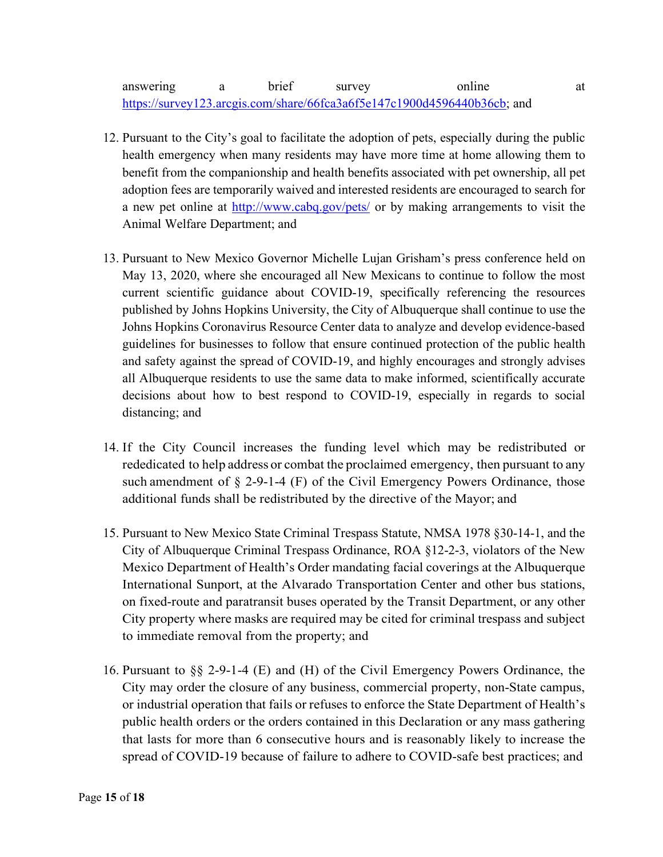## answering a brief survey online at https://survey123.arcgis.com/share/66fca3a6f5e147c1900d4596440b36cb; and

- 12. Pursuant to the City's goal to facilitate the adoption of pets, especially during the public health emergency when many residents may have more time at home allowing them to benefit from the companionship and health benefits associated with pet ownership, all pet adoption fees are temporarily waived and interested residents are encouraged to search for a new pet online at http://www.cabq.gov/pets/ or by making arrangements to visit the Animal Welfare Department; and
- 13. Pursuant to New Mexico Governor Michelle Lujan Grisham's press conference held on May 13, 2020, where she encouraged all New Mexicans to continue to follow the most current scientific guidance about COVID-19, specifically referencing the resources published by Johns Hopkins University, the City of Albuquerque shall continue to use the Johns Hopkins Coronavirus Resource Center data to analyze and develop evidence-based guidelines for businesses to follow that ensure continued protection of the public health and safety against the spread of COVID-19, and highly encourages and strongly advises all Albuquerque residents to use the same data to make informed, scientifically accurate decisions about how to best respond to COVID-19, especially in regards to social distancing; and
- 14. If the City Council increases the funding level which may be redistributed or rededicated to help address or combat the proclaimed emergency, then pursuant to any such amendment of § 2-9-1-4 (F) of the Civil Emergency Powers Ordinance, those additional funds shall be redistributed by the directive of the Mayor; and
- 15. Pursuant to New Mexico State Criminal Trespass Statute, NMSA 1978 §30-14-1, and the City of Albuquerque Criminal Trespass Ordinance, ROA §12-2-3, violators of the New Mexico Department of Health's Order mandating facial coverings at the Albuquerque International Sunport, at the Alvarado Transportation Center and other bus stations, on fixed-route and paratransit buses operated by the Transit Department, or any other City property where masks are required may be cited for criminal trespass and subject to immediate removal from the property; and
- 16. Pursuant to §§ 2-9-1-4 (E) and (H) of the Civil Emergency Powers Ordinance, the City may order the closure of any business, commercial property, non-State campus, or industrial operation that fails or refuses to enforce the State Department of Health's public health orders or the orders contained in this Declaration or any mass gathering that lasts for more than 6 consecutive hours and is reasonably likely to increase the spread of COVID-19 because of failure to adhere to COVID-safe best practices; and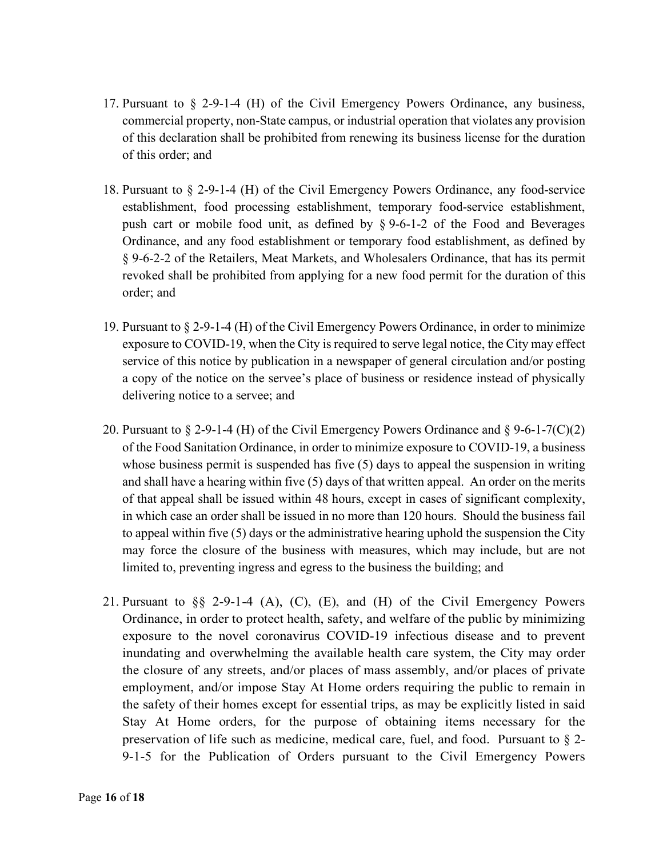- 17. Pursuant to § 2-9-1-4 (H) of the Civil Emergency Powers Ordinance, any business, commercial property, non-State campus, or industrial operation that violates any provision of this declaration shall be prohibited from renewing its business license for the duration of this order; and
- 18. Pursuant to § 2-9-1-4 (H) of the Civil Emergency Powers Ordinance, any food-service establishment, food processing establishment, temporary food-service establishment, push cart or mobile food unit, as defined by § 9-6-1-2 of the Food and Beverages Ordinance, and any food establishment or temporary food establishment, as defined by § 9-6-2-2 of the Retailers, Meat Markets, and Wholesalers Ordinance, that has its permit revoked shall be prohibited from applying for a new food permit for the duration of this order; and
- 19. Pursuant to § 2-9-1-4 (H) of the Civil Emergency Powers Ordinance, in order to minimize exposure to COVID-19, when the City is required to serve legal notice, the City may effect service of this notice by publication in a newspaper of general circulation and/or posting a copy of the notice on the servee's place of business or residence instead of physically delivering notice to a servee; and
- 20. Pursuant to  $\S 2$ -9-1-4 (H) of the Civil Emergency Powers Ordinance and  $\S 9$ -6-1-7(C)(2) of the Food Sanitation Ordinance, in order to minimize exposure to COVID-19, a business whose business permit is suspended has five (5) days to appeal the suspension in writing and shall have a hearing within five (5) days of that written appeal. An order on the merits of that appeal shall be issued within 48 hours, except in cases of significant complexity, in which case an order shall be issued in no more than 120 hours. Should the business fail to appeal within five (5) days or the administrative hearing uphold the suspension the City may force the closure of the business with measures, which may include, but are not limited to, preventing ingress and egress to the business the building; and
- 21. Pursuant to §§ 2-9-1-4 (A), (C), (E), and (H) of the Civil Emergency Powers Ordinance, in order to protect health, safety, and welfare of the public by minimizing exposure to the novel coronavirus COVID-19 infectious disease and to prevent inundating and overwhelming the available health care system, the City may order the closure of any streets, and/or places of mass assembly, and/or places of private employment, and/or impose Stay At Home orders requiring the public to remain in the safety of their homes except for essential trips, as may be explicitly listed in said Stay At Home orders, for the purpose of obtaining items necessary for the preservation of life such as medicine, medical care, fuel, and food. Pursuant to § 2- 9-1-5 for the Publication of Orders pursuant to the Civil Emergency Powers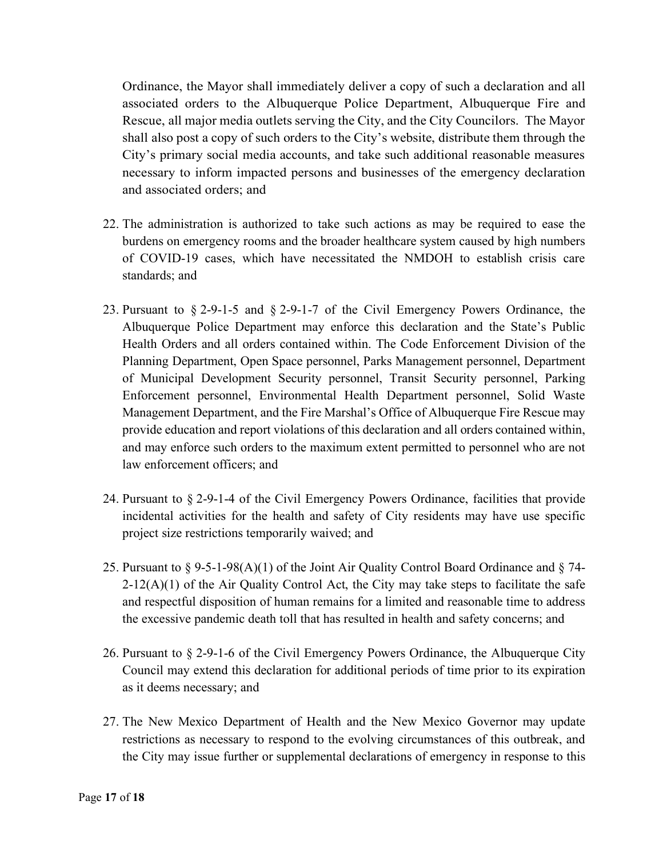Ordinance, the Mayor shall immediately deliver a copy of such a declaration and all associated orders to the Albuquerque Police Department, Albuquerque Fire and Rescue, all major media outlets serving the City, and the City Councilors. The Mayor shall also post a copy of such orders to the City's website, distribute them through the City's primary social media accounts, and take such additional reasonable measures necessary to inform impacted persons and businesses of the emergency declaration and associated orders; and

- 22. The administration is authorized to take such actions as may be required to ease the burdens on emergency rooms and the broader healthcare system caused by high numbers of COVID-19 cases, which have necessitated the NMDOH to establish crisis care standards; and
- 23. Pursuant to § 2-9-1-5 and § 2-9-1-7 of the Civil Emergency Powers Ordinance, the Albuquerque Police Department may enforce this declaration and the State's Public Health Orders and all orders contained within. The Code Enforcement Division of the Planning Department, Open Space personnel, Parks Management personnel, Department of Municipal Development Security personnel, Transit Security personnel, Parking Enforcement personnel, Environmental Health Department personnel, Solid Waste Management Department, and the Fire Marshal's Office of Albuquerque Fire Rescue may provide education and report violations of this declaration and all orders contained within, and may enforce such orders to the maximum extent permitted to personnel who are not law enforcement officers; and
- 24. Pursuant to § 2-9-1-4 of the Civil Emergency Powers Ordinance, facilities that provide incidental activities for the health and safety of City residents may have use specific project size restrictions temporarily waived; and
- 25. Pursuant to  $\S$  9-5-1-98(A)(1) of the Joint Air Quality Control Board Ordinance and  $\S$  74- $2-12(A)(1)$  of the Air Quality Control Act, the City may take steps to facilitate the safe and respectful disposition of human remains for a limited and reasonable time to address the excessive pandemic death toll that has resulted in health and safety concerns; and
- 26. Pursuant to § 2-9-1-6 of the Civil Emergency Powers Ordinance, the Albuquerque City Council may extend this declaration for additional periods of time prior to its expiration as it deems necessary; and
- 27. The New Mexico Department of Health and the New Mexico Governor may update restrictions as necessary to respond to the evolving circumstances of this outbreak, and the City may issue further or supplemental declarations of emergency in response to this